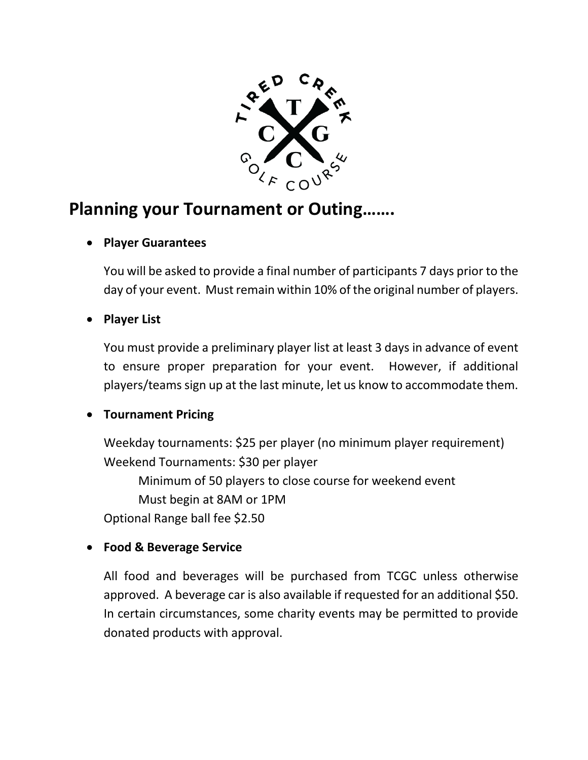

# **Planning your Tournament or Outing…….**

## • **Player Guarantees**

You will be asked to provide a final number of participants 7 days prior to the day of your event. Must remain within 10% of the original number of players.

### • **Player List**

You must provide a preliminary player list at least 3 days in advance of event to ensure proper preparation for your event. However, if additional players/teams sign up at the last minute, let us know to accommodate them.

### • **Tournament Pricing**

Weekday tournaments: \$25 per player (no minimum player requirement) Weekend Tournaments: \$30 per player

Minimum of 50 players to close course for weekend event

Must begin at 8AM or 1PM

Optional Range ball fee \$2.50

### • **Food & Beverage Service**

All food and beverages will be purchased from TCGC unless otherwise approved. A beverage car is also available if requested for an additional \$50. In certain circumstances, some charity events may be permitted to provide donated products with approval.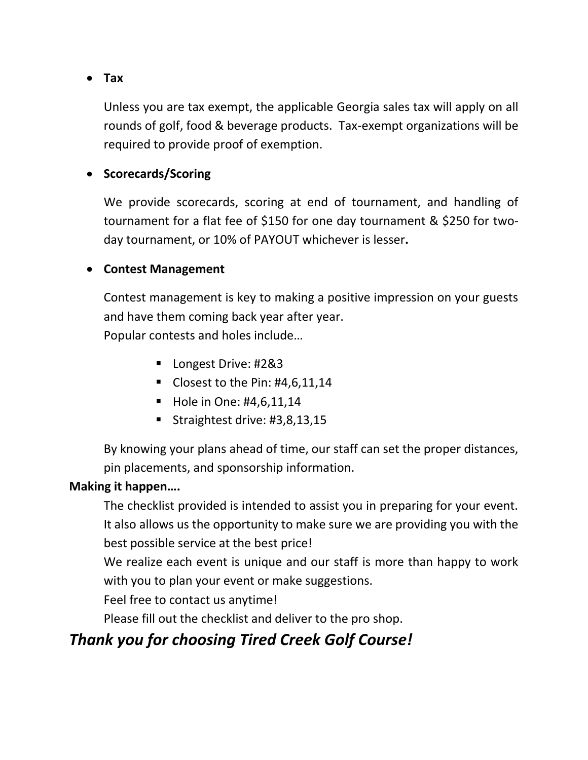### • **Tax**

Unless you are tax exempt, the applicable Georgia sales tax will apply on all rounds of golf, food & beverage products. Tax-exempt organizations will be required to provide proof of exemption.

#### • **Scorecards/Scoring**

We provide scorecards, scoring at end of tournament, and handling of tournament for a flat fee of \$150 for one day tournament & \$250 for twoday tournament, or 10% of PAYOUT whichever is lesser**.**

#### • **Contest Management**

Contest management is key to making a positive impression on your guests and have them coming back year after year. Popular contests and holes include…

- Longest Drive: #2&3
- Closest to the Pin:  $#4,6,11,14$
- Hole in One: #4,6,11,14
- Straightest drive: #3,8,13,15

By knowing your plans ahead of time, our staff can set the proper distances, pin placements, and sponsorship information.

#### **Making it happen….**

The checklist provided is intended to assist you in preparing for your event. It also allows us the opportunity to make sure we are providing you with the best possible service at the best price!

We realize each event is unique and our staff is more than happy to work with you to plan your event or make suggestions.

Feel free to contact us anytime!

Please fill out the checklist and deliver to the pro shop.

# *Thank you for choosing Tired Creek Golf Course!*